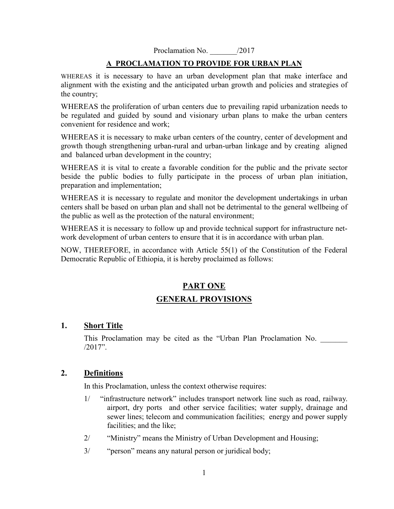Proclamation No.  $/2017$ 

### **A PROCLAMATION TO PROVIDE FOR URBAN PLAN**

WHEREAS it is necessary to have an urban development plan that make interface and alignment with the existing and the anticipated urban growth and policies and strategies of the country;

WHEREAS the proliferation of urban centers due to prevailing rapid urbanization needs to be regulated and guided by sound and visionary urban plans to make the urban centers convenient for residence and work;

WHEREAS it is necessary to make urban centers of the country, center of development and growth though strengthening urban-rural and urban-urban linkage and by creating aligned and balanced urban development in the country;

WHEREAS it is vital to create a favorable condition for the public and the private sector beside the public bodies to fully participate in the process of urban plan initiation, preparation and implementation;

WHEREAS it is necessary to regulate and monitor the development undertakings in urban centers shall be based on urban plan and shall not be detrimental to the general wellbeing of the public as well as the protection of the natural environment;

WHEREAS it is necessary to follow up and provide technical support for infrastructure network development of urban centers to ensure that it is in accordance with urban plan.

NOW, THEREFORE, in accordance with Article 55(1) of the Constitution of the Federal Democratic Republic of Ethiopia, it is hereby proclaimed as follows:

# **PART ONE GENERAL PROVISIONS**

### **1. Short Title**

This Proclamation may be cited as the "Urban Plan Proclamation No. /2017".

### **2. Definitions**

In this Proclamation, unless the context otherwise requires:

- 1/ "infrastructure network" includes transport network line such as road, railway. airport, dry ports and other service facilities; water supply, drainage and sewer lines; telecom and communication facilities; energy and power supply facilities; and the like;
- 2/ "Ministry" means the Ministry of Urban Development and Housing;
- 3/ "person" means any natural person or juridical body;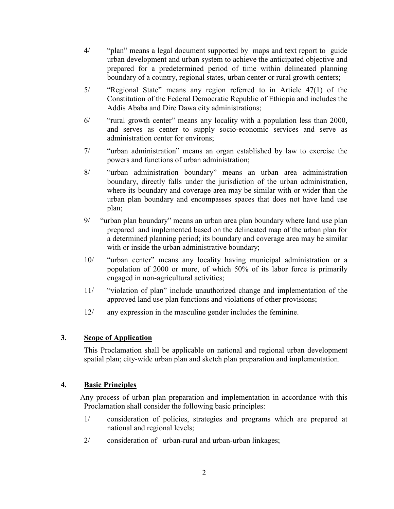- 4/ "plan" means a legal document supported by maps and text report to guide urban development and urban system to achieve the anticipated objective and prepared for a predetermined period of time within delineated planning boundary of a country, regional states, urban center or rural growth centers;
- 5/ "Regional State" means any region referred to in Article 47(1) of the Constitution of the Federal Democratic Republic of Ethiopia and includes the Addis Ababa and Dire Dawa city administrations;
- 6/ "rural growth center" means any locality with a population less than 2000, and serves as center to supply socio-economic services and serve as administration center for environs;
- 7/ "urban administration" means an organ established by law to exercise the powers and functions of urban administration;
- 8/ "urban administration boundary" means an urban area administration boundary, directly falls under the jurisdiction of the urban administration, where its boundary and coverage area may be similar with or wider than the urban plan boundary and encompasses spaces that does not have land use plan;
- 9/ "urban plan boundary" means an urban area plan boundary where land use plan prepared and implemented based on the delineated map of the urban plan for a determined planning period; its boundary and coverage area may be similar with or inside the urban administrative boundary;
- 10/ "urban center" means any locality having municipal administration or a population of 2000 or more, of which 50% of its labor force is primarily engaged in non-agricultural activities;
- 11/ "violation of plan" include unauthorized change and implementation of the approved land use plan functions and violations of other provisions;
- 12/ any expression in the masculine gender includes the feminine.

### **3. Scope of Application**

This Proclamation shall be applicable on national and regional urban development spatial plan; city-wide urban plan and sketch plan preparation and implementation.

### **4. Basic Principles**

 Any process of urban plan preparation and implementation in accordance with this Proclamation shall consider the following basic principles:

- 1/ consideration of policies, strategies and programs which are prepared at national and regional levels;
- 2/ consideration of urban-rural and urban-urban linkages;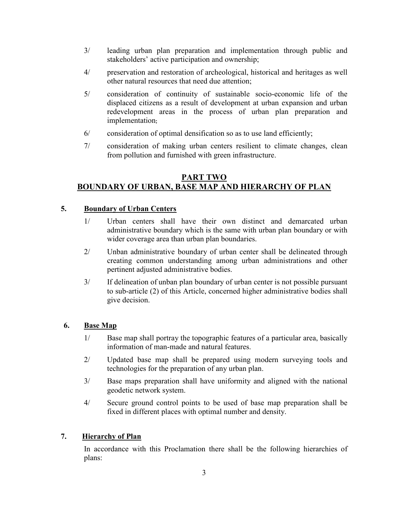- 3/ leading urban plan preparation and implementation through public and stakeholders' active participation and ownership;
- 4/ preservation and restoration of archeological, historical and heritages as well other natural resources that need due attention;
- 5/ consideration of continuity of sustainable socio-economic life of the displaced citizens as a result of development at urban expansion and urban redevelopment areas in the process of urban plan preparation and implementation;
- 6/ consideration of optimal densification so as to use land efficiently;
- 7/ consideration of making urban centers resilient to climate changes, clean from pollution and furnished with green infrastructure.

# **PART TWO BOUNDARY OF URBAN, BASE MAP AND HIERARCHY OF PLAN**

## **5. Boundary of Urban Centers**

- 1/ Urban centers shall have their own distinct and demarcated urban administrative boundary which is the same with urban plan boundary or with wider coverage area than urban plan boundaries.
- 2/ Unban administrative boundary of urban center shall be delineated through creating common understanding among urban administrations and other pertinent adjusted administrative bodies.
- 3/ If delineation of unban plan boundary of urban center is not possible pursuant to sub-article (2) of this Article, concerned higher administrative bodies shall give decision.

### **6. Base Map**

- 1/ Base map shall portray the topographic features of a particular area, basically information of man-made and natural features.
- 2/ Updated base map shall be prepared using modern surveying tools and technologies for the preparation of any urban plan.
- 3/ Base maps preparation shall have uniformity and aligned with the national geodetic network system.
- 4/ Secure ground control points to be used of base map preparation shall be fixed in different places with optimal number and density.

### **7. Hierarchy of Plan**

In accordance with this Proclamation there shall be the following hierarchies of plans: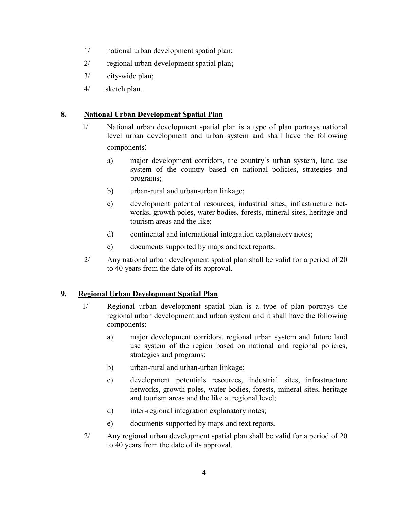- 1/ national urban development spatial plan;
- 2/ regional urban development spatial plan;
- 3/ city-wide plan;
- 4/ sketch plan.

### **8. National Urban Development Spatial Plan**

- 1/ National urban development spatial plan is a type of plan portrays national level urban development and urban system and shall have the following components:
	- a) major development corridors, the country's urban system, land use system of the country based on national policies, strategies and programs;
	- b) urban-rural and urban-urban linkage;
	- c) development potential resources, industrial sites, infrastructure networks, growth poles, water bodies, forests, mineral sites, heritage and tourism areas and the like;
	- d) continental and international integration explanatory notes;
	- e) documents supported by maps and text reports.
- 2/ Any national urban development spatial plan shall be valid for a period of 20 to 40 years from the date of its approval.

### **9. Regional Urban Development Spatial Plan**

- 1/ Regional urban development spatial plan is a type of plan portrays the regional urban development and urban system and it shall have the following components:
	- a) major development corridors, regional urban system and future land use system of the region based on national and regional policies, strategies and programs;
	- b) urban-rural and urban-urban linkage;
	- c) development potentials resources, industrial sites, infrastructure networks, growth poles, water bodies, forests, mineral sites, heritage and tourism areas and the like at regional level;
	- d) inter-regional integration explanatory notes;
	- e) documents supported by maps and text reports.
- 2/ Any regional urban development spatial plan shall be valid for a period of 20 to 40 years from the date of its approval.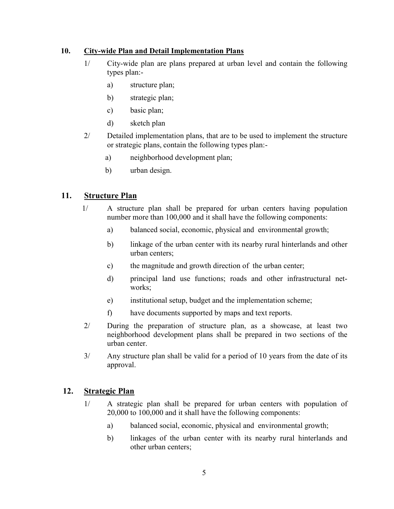### **10. City-wide Plan and Detail Implementation Plans**

- 1/ City-wide plan are plans prepared at urban level and contain the following types plan:
	- a) structure plan;
	- b) strategic plan;
	- c) basic plan;
	- d) sketch plan
- 2/ Detailed implementation plans, that are to be used to implement the structure or strategic plans, contain the following types plan:
	- a) neighborhood development plan;
	- b) urban design.

## **11. Structure Plan**

- 1/ A structure plan shall be prepared for urban centers having population number more than 100,000 and it shall have the following components:
	- a) balanced social, economic, physical and environmental growth;
	- b) linkage of the urban center with its nearby rural hinterlands and other urban centers;
	- c) the magnitude and growth direction of the urban center;
	- d) principal land use functions; roads and other infrastructural networks;
	- e) institutional setup, budget and the implementation scheme;
	- f) have documents supported by maps and text reports.
- 2/ During the preparation of structure plan, as a showcase, at least two neighborhood development plans shall be prepared in two sections of the urban center.
- 3/ Any structure plan shall be valid for a period of 10 years from the date of its approval.

### **12. Strategic Plan**

- 1/ A strategic plan shall be prepared for urban centers with population of 20,000 to 100,000 and it shall have the following components:
	- a) balanced social, economic, physical and environmental growth;
	- b) linkages of the urban center with its nearby rural hinterlands and other urban centers;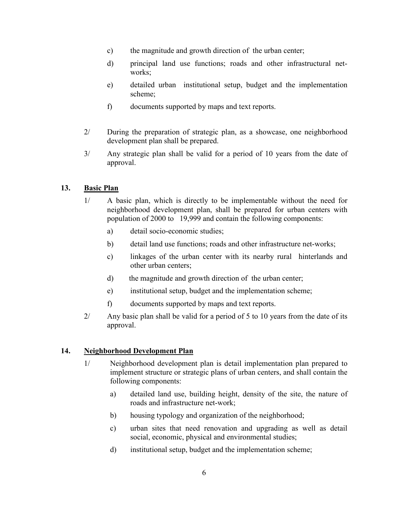- c) the magnitude and growth direction of the urban center;
- d) principal land use functions; roads and other infrastructural networks:
- e) detailed urban institutional setup, budget and the implementation scheme;
- f) documents supported by maps and text reports.
- 2/ During the preparation of strategic plan, as a showcase, one neighborhood development plan shall be prepared.
- 3/ Any strategic plan shall be valid for a period of 10 years from the date of approval.

### **13. Basic Plan**

- 1/ A basic plan, which is directly to be implementable without the need for neighborhood development plan, shall be prepared for urban centers with population of 2000 to 19,999 and contain the following components:
	- a) detail socio-economic studies;
	- b) detail land use functions; roads and other infrastructure net-works;
	- c) linkages of the urban center with its nearby rural hinterlands and other urban centers;
	- d) the magnitude and growth direction of the urban center;
	- e) institutional setup, budget and the implementation scheme;
	- f) documents supported by maps and text reports.
- 2/ Any basic plan shall be valid for a period of 5 to 10 years from the date of its approval.

#### **14. Neighborhood Development Plan**

- 1/ Neighborhood development plan is detail implementation plan prepared to implement structure or strategic plans of urban centers, and shall contain the following components:
	- a) detailed land use, building height, density of the site, the nature of roads and infrastructure net-work;
	- b) housing typology and organization of the neighborhood;
	- c) urban sites that need renovation and upgrading as well as detail social, economic, physical and environmental studies;
	- d) institutional setup, budget and the implementation scheme;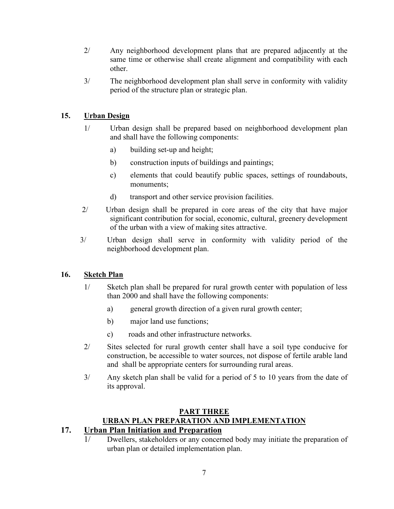- 2/ Any neighborhood development plans that are prepared adjacently at the same time or otherwise shall create alignment and compatibility with each other.
- 3/ The neighborhood development plan shall serve in conformity with validity period of the structure plan or strategic plan.

# **15. Urban Design**

- 1/ Urban design shall be prepared based on neighborhood development plan and shall have the following components:
	- a) building set-up and height;
	- b) construction inputs of buildings and paintings;
	- c) elements that could beautify public spaces, settings of roundabouts, monuments;
	- d) transport and other service provision facilities.
- 2/ Urban design shall be prepared in core areas of the city that have major significant contribution for social, economic, cultural, greenery development of the urban with a view of making sites attractive.
- 3/ Urban design shall serve in conformity with validity period of the neighborhood development plan.

### **16. Sketch Plan**

- 1/ Sketch plan shall be prepared for rural growth center with population of less than 2000 and shall have the following components:
	- a) general growth direction of a given rural growth center;
	- b) major land use functions;
	- c) roads and other infrastructure networks.
- 2/ Sites selected for rural growth center shall have a soil type conducive for construction, be accessible to water sources, not dispose of fertile arable land and shall be appropriate centers for surrounding rural areas.
- 3/ Any sketch plan shall be valid for a period of 5 to 10 years from the date of its approval.

# **PART THREE URBAN PLAN PREPARATION AND IMPLEMENTATION**

# **17. Urban Plan Initiation and Preparation**

1/ Dwellers, stakeholders or any concerned body may initiate the preparation of urban plan or detailed implementation plan.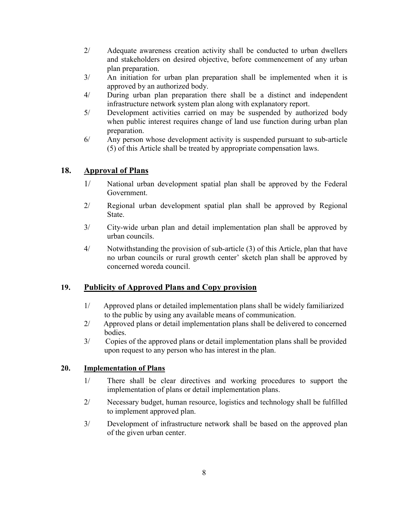- 2/ Adequate awareness creation activity shall be conducted to urban dwellers and stakeholders on desired objective, before commencement of any urban plan preparation.
- 3/ An initiation for urban plan preparation shall be implemented when it is approved by an authorized body.
- 4/ During urban plan preparation there shall be a distinct and independent infrastructure network system plan along with explanatory report.
- 5/ Development activities carried on may be suspended by authorized body when public interest requires change of land use function during urban plan preparation.
- 6/ Any person whose development activity is suspended pursuant to sub-article (5) of this Article shall be treated by appropriate compensation laws.

## **18. Approval of Plans**

- 1/ National urban development spatial plan shall be approved by the Federal Government.
- 2/ Regional urban development spatial plan shall be approved by Regional **State**
- 3/ City-wide urban plan and detail implementation plan shall be approved by urban councils.
- 4/ Notwithstanding the provision of sub-article (3) of this Article, plan that have no urban councils or rural growth center' sketch plan shall be approved by concerned woreda council.

# **19. Publicity of Approved Plans and Copy provision**

- 1/ Approved plans or detailed implementation plans shall be widely familiarized to the public by using any available means of communication.
- 2/ Approved plans or detail implementation plans shall be delivered to concerned bodies.
- 3/ Copies of the approved plans or detail implementation plans shall be provided upon request to any person who has interest in the plan.

### **20. Implementation of Plans**

- 1/ There shall be clear directives and working procedures to support the implementation of plans or detail implementation plans.
- 2/ Necessary budget, human resource, logistics and technology shall be fulfilled to implement approved plan.
- 3/ Development of infrastructure network shall be based on the approved plan of the given urban center.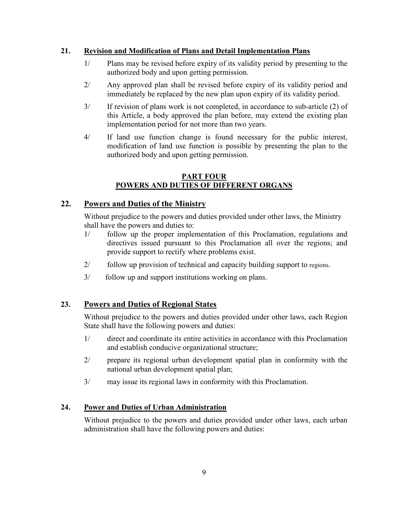### **21. Revision and Modification of Plans and Detail Implementation Plans**

- 1/ Plans may be revised before expiry of its validity period by presenting to the authorized body and upon getting permission.
- 2/ Any approved plan shall be revised before expiry of its validity period and immediately be replaced by the new plan upon expiry of its validity period.
- 3/ If revision of plans work is not completed, in accordance to sub-article (2) of this Article, a body approved the plan before, may extend the existing plan implementation period for not more than two years.
- 4/ If land use function change is found necessary for the public interest, modification of land use function is possible by presenting the plan to the authorized body and upon getting permission.

### **PART FOUR POWERS AND DUTIES OF DIFFERENT ORGANS**

### **22. Powers and Duties of the Ministry**

Without prejudice to the powers and duties provided under other laws, the Ministry shall have the powers and duties to:

- 1/ follow up the proper implementation of this Proclamation, regulations and directives issued pursuant to this Proclamation all over the regions; and provide support to rectify where problems exist.
- 2/ follow up provision of technical and capacity building support to regions.
- 3/ follow up and support institutions working on plans.

### **23. Powers and Duties of Regional States**

 Without prejudice to the powers and duties provided under other laws, each Region State shall have the following powers and duties:

- 1/ direct and coordinate its entire activities in accordance with this Proclamation and establish conducive organizational structure;
- 2/ prepare its regional urban development spatial plan in conformity with the national urban development spatial plan;
- 3/ may issue its regional laws in conformity with this Proclamation.

### **24. Power and Duties of Urban Administration**

 Without prejudice to the powers and duties provided under other laws, each urban administration shall have the following powers and duties: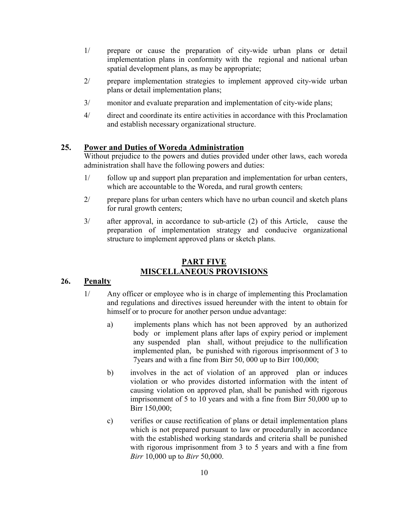- 1/ prepare or cause the preparation of city-wide urban plans or detail implementation plans in conformity with the regional and national urban spatial development plans, as may be appropriate;
- 2/ prepare implementation strategies to implement approved city-wide urban plans or detail implementation plans;
- 3/ monitor and evaluate preparation and implementation of city-wide plans;
- 4/ direct and coordinate its entire activities in accordance with this Proclamation and establish necessary organizational structure.

# **25. Power and Duties of Woreda Administration**

 Without prejudice to the powers and duties provided under other laws, each woreda administration shall have the following powers and duties:

- 1/ follow up and support plan preparation and implementation for urban centers, which are accountable to the Woreda, and rural growth centers;
- 2/ prepare plans for urban centers which have no urban council and sketch plans for rural growth centers;
- 3/ after approval, in accordance to sub-article (2) of this Article, cause the preparation of implementation strategy and conducive organizational structure to implement approved plans or sketch plans.

# **PART FIVE MISCELLANEOUS PROVISIONS**

### **26. Penalty**

- 1/ Any officer or employee who is in charge of implementing this Proclamation and regulations and directives issued hereunder with the intent to obtain for himself or to procure for another person undue advantage:
	- a) implements plans which has not been approved by an authorized body or implement plans after laps of expiry period or implement any suspended plan shall, without prejudice to the nullification implemented plan, be punished with rigorous imprisonment of 3 to 7years and with a fine from Birr 50, 000 up to Birr 100,000;
	- b) involves in the act of violation of an approved plan or induces violation or who provides distorted information with the intent of causing violation on approved plan, shall be punished with rigorous imprisonment of 5 to 10 years and with a fine from Birr 50,000 up to Birr 150,000;
	- c) verifies or cause rectification of plans or detail implementation plans which is not prepared pursuant to law or procedurally in accordance with the established working standards and criteria shall be punished with rigorous imprisonment from 3 to 5 years and with a fine from *Birr* 10,000 up to *Birr* 50,000.